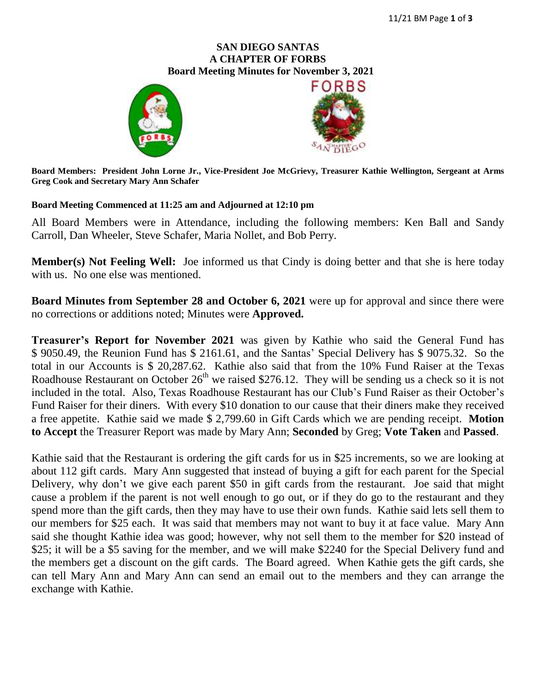#### **SAN DIEGO SANTAS A CHAPTER OF FORBS**  **Board Meeting Minutes for November 3, 2021**





**Board Members: President John Lorne Jr., Vice-President Joe McGrievy, Treasurer Kathie Wellington, Sergeant at Arms Greg Cook and Secretary Mary Ann Schafer**

#### **Board Meeting Commenced at 11:25 am and Adjourned at 12:10 pm**

All Board Members were in Attendance, including the following members: Ken Ball and Sandy Carroll, Dan Wheeler, Steve Schafer, Maria Nollet, and Bob Perry.

**Member(s) Not Feeling Well:** Joe informed us that Cindy is doing better and that she is here today with us. No one else was mentioned.

**Board Minutes from September 28 and October 6, 2021** were up for approval and since there were no corrections or additions noted; Minutes were **Approved.**

**Treasurer's Report for November 2021** was given by Kathie who said the General Fund has \$ 9050.49, the Reunion Fund has \$ 2161.61, and the Santas' Special Delivery has \$ 9075.32. So the total in our Accounts is \$ 20,287.62. Kathie also said that from the 10% Fund Raiser at the Texas Roadhouse Restaurant on October  $26<sup>th</sup>$  we raised \$276.12. They will be sending us a check so it is not included in the total. Also, Texas Roadhouse Restaurant has our Club's Fund Raiser as their October's Fund Raiser for their diners. With every \$10 donation to our cause that their diners make they received a free appetite. Kathie said we made \$ 2,799.60 in Gift Cards which we are pending receipt. **Motion to Accept** the Treasurer Report was made by Mary Ann; **Seconded** by Greg; **Vote Taken** and **Passed**.

Kathie said that the Restaurant is ordering the gift cards for us in \$25 increments, so we are looking at about 112 gift cards. Mary Ann suggested that instead of buying a gift for each parent for the Special Delivery, why don't we give each parent \$50 in gift cards from the restaurant. Joe said that might cause a problem if the parent is not well enough to go out, or if they do go to the restaurant and they spend more than the gift cards, then they may have to use their own funds. Kathie said lets sell them to our members for \$25 each. It was said that members may not want to buy it at face value. Mary Ann said she thought Kathie idea was good; however, why not sell them to the member for \$20 instead of \$25; it will be a \$5 saving for the member, and we will make \$2240 for the Special Delivery fund and the members get a discount on the gift cards. The Board agreed. When Kathie gets the gift cards, she can tell Mary Ann and Mary Ann can send an email out to the members and they can arrange the exchange with Kathie.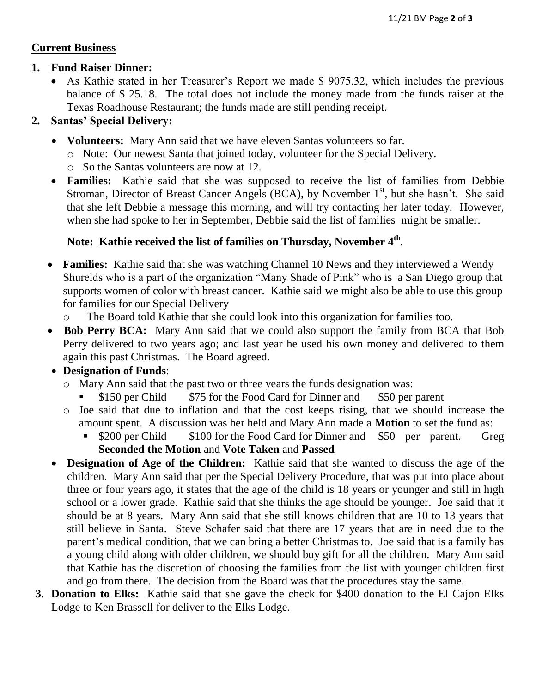### **Current Business**

### **1. Fund Raiser Dinner:**

 As Kathie stated in her Treasurer's Report we made \$ 9075.32, which includes the previous balance of \$ 25.18. The total does not include the money made from the funds raiser at the Texas Roadhouse Restaurant; the funds made are still pending receipt.

### **2. Santas' Special Delivery:**

- **Volunteers:** Mary Ann said that we have eleven Santas volunteers so far.
	- o Note: Our newest Santa that joined today, volunteer for the Special Delivery.
	- o So the Santas volunteers are now at 12.
- **Families:** Kathie said that she was supposed to receive the list of families from Debbie Stroman, Director of Breast Cancer Angels (BCA), by November 1<sup>st</sup>, but she hasn't. She said that she left Debbie a message this morning, and will try contacting her later today. However, when she had spoke to her in September, Debbie said the list of families might be smaller.

# **Note: Kathie received the list of families on Thursday, November 4th** .

- **Families:** Kathie said that she was watching Channel 10 News and they interviewed a Wendy Shurelds who is a part of the organization "Many Shade of Pink" who is a San Diego group that supports women of color with breast cancer. Kathie said we might also be able to use this group for families for our Special Delivery
	- o The Board told Kathie that she could look into this organization for families too.
- Bob Perry BCA: Mary Ann said that we could also support the family from BCA that Bob Perry delivered to two years ago; and last year he used his own money and delivered to them again this past Christmas. The Board agreed.

## **Designation of Funds**:

- o Mary Ann said that the past two or three years the funds designation was:
	- \$150 per Child \$75 for the Food Card for Dinner and \$50 per parent
- o Joe said that due to inflation and that the cost keeps rising, that we should increase the amount spent. A discussion was her held and Mary Ann made a **Motion** to set the fund as:
	- \$200 per Child \$100 for the Food Card for Dinner and \$50 per parent. Greg **Seconded the Motion** and **Vote Taken** and **Passed**
- **Designation of Age of the Children:** Kathie said that she wanted to discuss the age of the children. Mary Ann said that per the Special Delivery Procedure, that was put into place about three or four years ago, it states that the age of the child is 18 years or younger and still in high school or a lower grade. Kathie said that she thinks the age should be younger. Joe said that it should be at 8 years. Mary Ann said that she still knows children that are 10 to 13 years that still believe in Santa. Steve Schafer said that there are 17 years that are in need due to the parent's medical condition, that we can bring a better Christmas to. Joe said that is a family has a young child along with older children, we should buy gift for all the children. Mary Ann said that Kathie has the discretion of choosing the families from the list with younger children first and go from there. The decision from the Board was that the procedures stay the same.
- **3. Donation to Elks:** Kathie said that she gave the check for \$400 donation to the El Cajon Elks Lodge to Ken Brassell for deliver to the Elks Lodge.